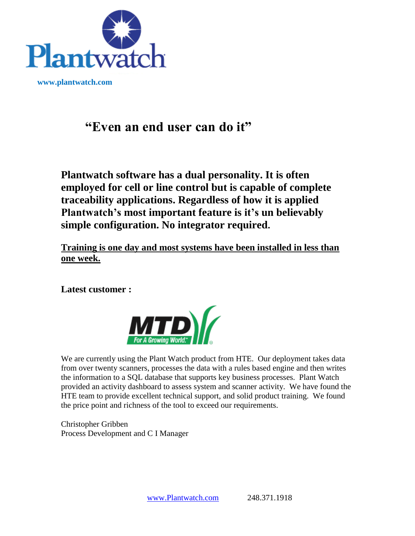

 **www.plantwatch.com**

# **"Even an end user can do it"**

**Plantwatch software has a dual personality. It is often employed for cell or line control but is capable of complete traceability applications. Regardless of how it is applied Plantwatch's most important feature is it's un believably simple configuration. No integrator required.** 

**Training is one day and most systems have been installed in less than one week.** 

**Latest customer :** 



We are currently using the Plant Watch product from HTE. Our deployment takes data from over twenty scanners, processes the data with a rules based engine and then writes the information to a SQL database that supports key business processes. Plant Watch provided an activity dashboard to assess system and scanner activity. We have found the HTE team to provide excellent technical support, and solid product training. We found the price point and richness of the tool to exceed our requirements.

Christopher Gribben Process Development and C I Manager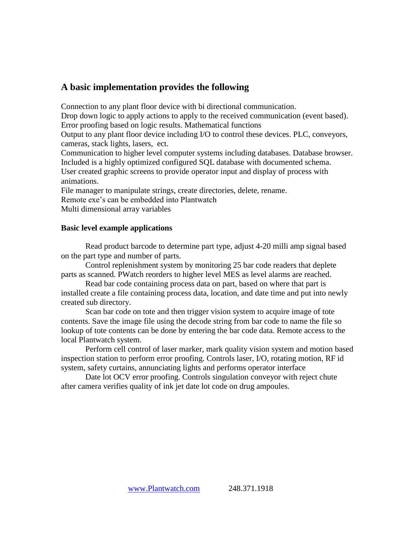#### **A basic implementation provides the following**

Connection to any plant floor device with bi directional communication.

Drop down logic to apply actions to apply to the received communication (event based). Error proofing based on logic results. Mathematical functions

Output to any plant floor device including I/O to control these devices. PLC, conveyors, cameras, stack lights, lasers, ect.

Communication to higher level computer systems including databases. Database browser. Included is a highly optimized configured SQL database with documented schema. User created graphic screens to provide operator input and display of process with

animations.

File manager to manipulate strings, create directories, delete, rename.

Remote exe's can be embedded into Plantwatch

Multi dimensional array variables

#### **Basic level example applications**

Read product barcode to determine part type, adjust 4-20 milli amp signal based on the part type and number of parts.

Control replenishment system by monitoring 25 bar code readers that deplete parts as scanned. PWatch reorders to higher level MES as level alarms are reached.

Read bar code containing process data on part, based on where that part is installed create a file containing process data, location, and date time and put into newly created sub directory.

Scan bar code on tote and then trigger vision system to acquire image of tote contents. Save the image file using the decode string from bar code to name the file so lookup of tote contents can be done by entering the bar code data. Remote access to the local Plantwatch system.

Perform cell control of laser marker, mark quality vision system and motion based inspection station to perform error proofing. Controls laser, I/O, rotating motion, RF id system, safety curtains, annunciating lights and performs operator interface

Date lot OCV error proofing. Controls singulation conveyor with reject chute after camera verifies quality of ink jet date lot code on drug ampoules.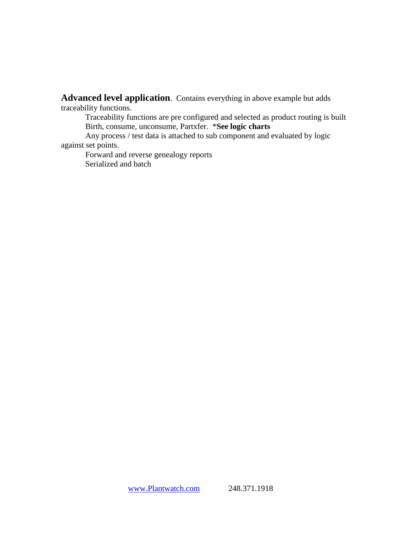**Advanced level application**. Contains everything in above example but adds traceability functions.

Traceability functions are pre configured and selected as product routing is built Birth, consume, unconsume, Partxfer. \***See logic charts**

Any process / test data is attached to sub component and evaluated by logic against set points.

Forward and reverse genealogy reports Serialized and batch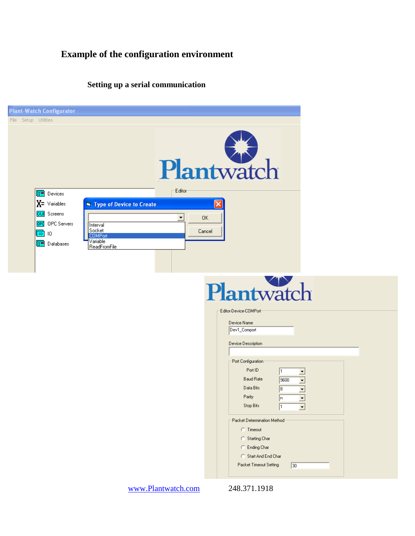## **Example of the configuration environment**

## **Setting up a serial communication**

| <b>Plant-Watch Configurator</b>                                                                                                                                                                                                                                                         |                                                                                                                                                                                                                                                                                                                      |
|-----------------------------------------------------------------------------------------------------------------------------------------------------------------------------------------------------------------------------------------------------------------------------------------|----------------------------------------------------------------------------------------------------------------------------------------------------------------------------------------------------------------------------------------------------------------------------------------------------------------------|
| File Setup Utilities<br>Editor<br>Œ<br>Devices<br>$X = \vee$ ariables<br><b>N</b> Type of Device to Create<br><b>GUI</b> Screens<br>$\blacktriangledown$<br>OPC OPC Servers<br>Interval<br>Socket<br>$\sqrt{10}$ 10<br><b>COMPort</b><br>Variable<br><b>□ Databases</b><br>ReadFromFile | Plantwatch<br>0K<br>Cancel                                                                                                                                                                                                                                                                                           |
|                                                                                                                                                                                                                                                                                         | Plantwatch<br>Editor-Device-COMPort<br>Device Name<br>Dev1_Comport<br>Device Description                                                                                                                                                                                                                             |
|                                                                                                                                                                                                                                                                                         | Port Configuration<br>Port ID<br>$\overline{\phantom{a}}$<br><b>Baud Rate</b><br>9600<br>$\overline{\phantom{a}}$<br>Data Bits<br>[8<br>$\overline{\phantom{a}}$<br>Parity<br>$\sqrt{n}$<br>$\blacksquare$<br>$\overline{\phantom{0}}$<br>$\sqrt{1}$<br>Stop Bits<br>Packet Determination Method<br><b>C</b> Timeout |
| www.Plantwatch.com                                                                                                                                                                                                                                                                      | C Starting Char<br>C Ending Char<br>C Start And End Char<br>Packet Timeout Setting<br>30<br>248.371.1918                                                                                                                                                                                                             |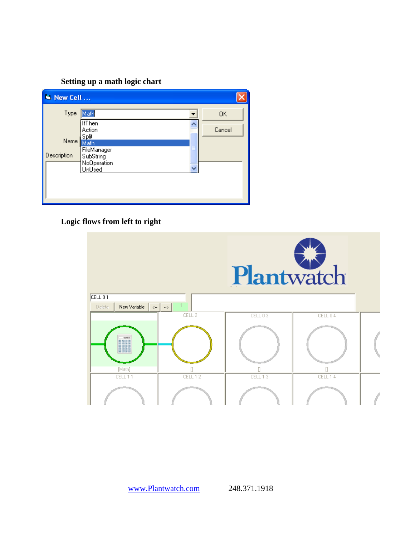#### **Setting up a math logic chart**

| N New Cell                  |                                                                                                            |                     |
|-----------------------------|------------------------------------------------------------------------------------------------------------|---------------------|
| Type<br>Name<br>Description | Math<br><b>IfThen</b><br>Action<br>Split<br>Math<br>FileManager<br>Ξ<br>SubString<br>NoOperation<br>UnUsed | <b>OK</b><br>Cancel |

## **Logic flows from left to right**



www.Plantwatch.com 248.371.1918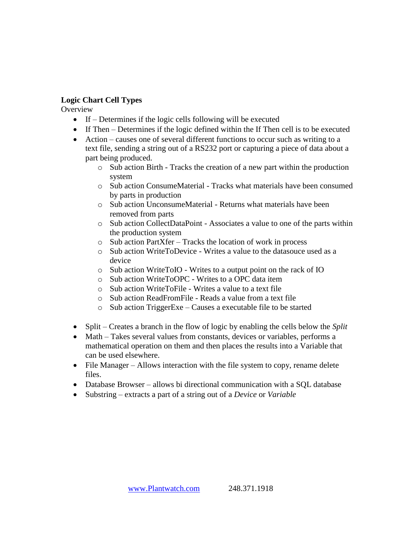#### **Logic Chart Cell Types**

**Overview** 

- If Determines if the logic cells following will be executed
- If Then Determines if the logic defined within the If Then cell is to be executed
- Action causes one of several different functions to occur such as writing to a text file, sending a string out of a RS232 port or capturing a piece of data about a part being produced.
	- o Sub action Birth Tracks the creation of a new part within the production system
	- $\circ$  Sub action ConsumeMaterial Tracks what materials have been consumed by parts in production
	- o Sub action UnconsumeMaterial Returns what materials have been removed from parts
	- o Sub action CollectDataPoint Associates a value to one of the parts within the production system
	- o Sub action PartXfer Tracks the location of work in process
	- o Sub action WriteToDevice Writes a value to the datasouce used as a device
	- o Sub action WriteToIO Writes to a output point on the rack of IO
	- o Sub action WriteToOPC Writes to a OPC data item
	- o Sub action WriteToFile Writes a value to a text file
	- o Sub action ReadFromFile Reads a value from a text file
	- o Sub action TriggerExe Causes a executable file to be started
- Split Creates a branch in the flow of logic by enabling the cells below the *Split*
- Math Takes several values from constants, devices or variables, performs a mathematical operation on them and then places the results into a Variable that can be used elsewhere.
- File Manager Allows interaction with the file system to copy, rename delete files.
- Database Browser allows bi directional communication with a SQL database
- Substring extracts a part of a string out of a *Device* or *Variable*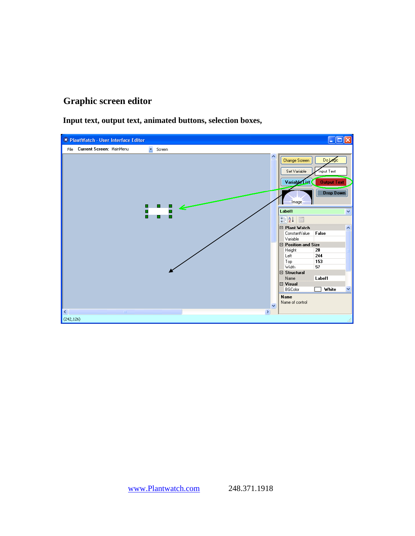## **Graphic screen editor**

**Input text, output text, animated buttons, selection boxes,**